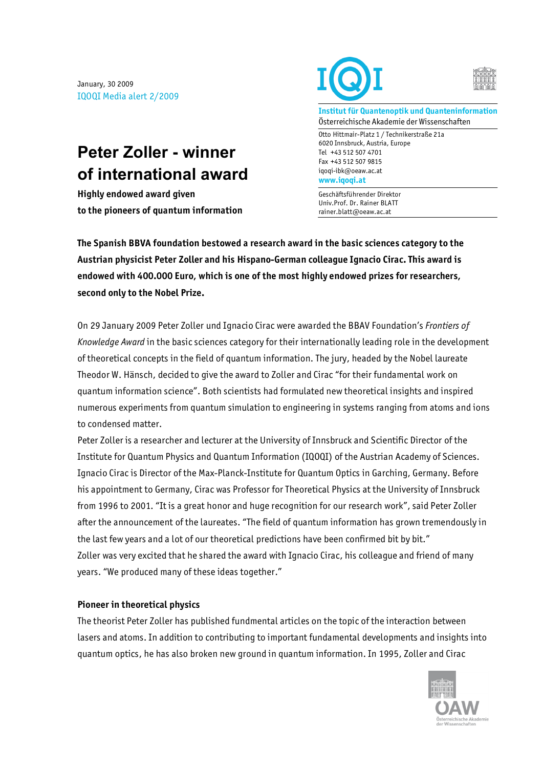January, 30 2009 IQOQI Media alert 2/2009

## **Peter Zoller - winner of international award**

**Highly endowed award given to the pioneers of quantum information** 



**Institut für Quantenoptik und Quanteninformation** Österreichische Akademie der Wissenschaften

Otto Hittmair-Platz 1 / Technikerstraße 21a 6020 Innsbruck, Austria, Europe Tel +43 512 507 4701 Fax +43 512 507 9815 iqoqi-ibk@oeaw.ac.at **www.iqoqi.at**

Geschäftsführender Direktor Univ.Prof. Dr. Rainer BLATT rainer.blatt@oeaw.ac.at

**The Spanish BBVA foundation bestowed a research award in the basic sciences category to the Austrian physicist Peter Zoller and his Hispano-German colleague Ignacio Cirac. This award is endowed with 400.000 Euro, which is one of the most highly endowed prizes for researchers, second only to the Nobel Prize.** 

On 29 January 2009 Peter Zoller und Ignacio Cirac were awarded the BBAV Foundation's *Frontiers of Knowledge Award* in the basic sciences category for their internationally leading role in the development of theoretical concepts in the field of quantum information. The jury, headed by the Nobel laureate Theodor W. Hänsch, decided to give the award to Zoller and Cirac "for their fundamental work on quantum information science". Both scientists had formulated new theoretical insights and inspired numerous experiments from quantum simulation to engineering in systems ranging from atoms and ions to condensed matter.

Peter Zoller is a researcher and lecturer at the University of Innsbruck and Scientific Director of the Institute for Quantum Physics and Quantum Information (IQOQI) of the Austrian Academy of Sciences. Ignacio Cirac is Director of the Max-Planck-Institute for Quantum Optics in Garching, Germany. Before his appointment to Germany, Cirac was Professor for Theoretical Physics at the University of Innsbruck from 1996 to 2001. "It is a great honor and huge recognition for our research work", said Peter Zoller after the announcement of the laureates. "The field of quantum information has grown tremendously in the last few years and a lot of our theoretical predictions have been confirmed bit by bit." Zoller was very excited that he shared the award with Ignacio Cirac, his colleague and friend of many years. "We produced many of these ideas together."

## **Pioneer in theoretical physics**

The theorist Peter Zoller has published fundmental articles on the topic of the interaction between lasers and atoms. In addition to contributing to important fundamental developments and insights into quantum optics, he has also broken new ground in quantum information. In 1995, Zoller and Cirac